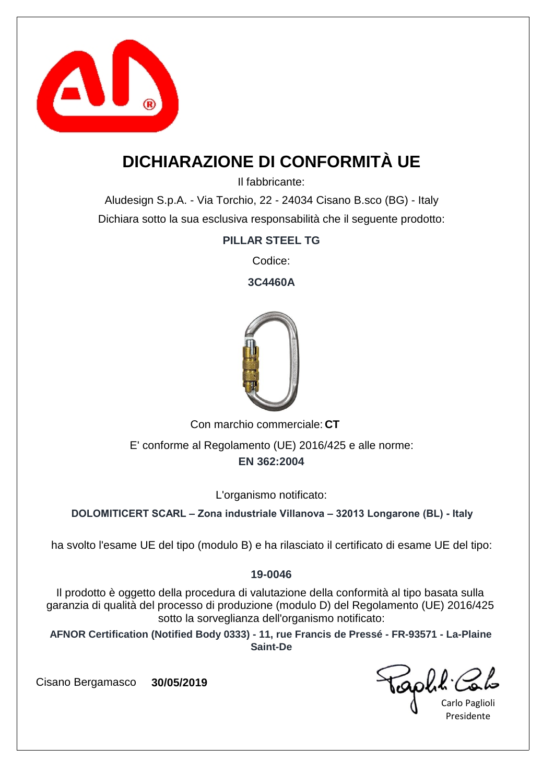

## **DICHIARAZIONE DI CONFORMITÀ UE**

Il fabbricante:

Aludesign S.p.A. - Via Torchio, 22 - 24034 Cisano B.sco (BG) - Italy Dichiara sotto la sua esclusiva responsabilità che il seguente prodotto:

### **PILLAR STEEL TG**

Codice:

**3C4460A**



Con marchio commerciale: CT

**EN 362:2004** E' conforme al Regolamento (UE) 2016/425 e alle norme:

L'organismo notificato:

**DOLOMITICERT SCARL – Zona industriale Villanova – 32013 Longarone (BL) - Italy**

ha svolto l'esame UE del tipo (modulo B) e ha rilasciato il certificato di esame UE del tipo:

### **19-0046**

Il prodotto è oggetto della procedura di valutazione della conformità al tipo basata sulla garanzia di qualità del processo di produzione (modulo D) del Regolamento (UE) 2016/425 sotto la sorveglianza dell'organismo notificato:

**AFNOR Certification (Notified Body 0333) - 11, rue Francis de Pressé - FR-93571 - La-Plaine Saint-De**

GOUL COL

Presidente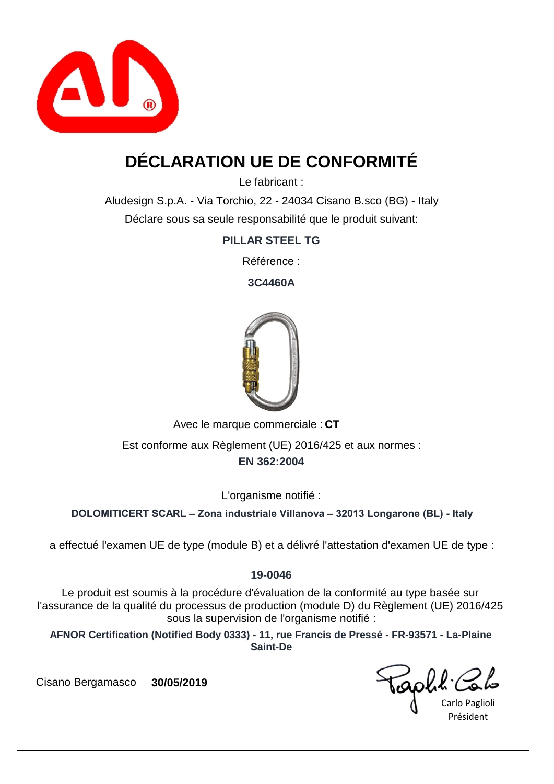

## **DÉCLARATION UE DE CONFORMITÉ**

Le fabricant :

Aludesign S.p.A. - Via Torchio, 22 - 24034 Cisano B.sco (BG) - Italy Déclare sous sa seule responsabilité que le produit suivant:

**PILLAR STEEL TG**

Référence :

**3C4460A**



Avec le marque commerciale : CT

**EN 362:2004** Est conforme aux Règlement (UE) 2016/425 et aux normes :

L'organisme notifié :

**DOLOMITICERT SCARL – Zona industriale Villanova – 32013 Longarone (BL) - Italy**

a effectué l'examen UE de type (module B) et a délivré l'attestation d'examen UE de type :

### **19-0046**

Le produit est soumis à la procédure d'évaluation de la conformité au type basée sur l'assurance de la qualité du processus de production (module D) du Règlement (UE) 2016/425 sous la supervision de l'organisme notifié :

**AFNOR Certification (Notified Body 0333) - 11, rue Francis de Pressé - FR-93571 - La-Plaine Saint-De**

capha.

Carlo Paglioli Président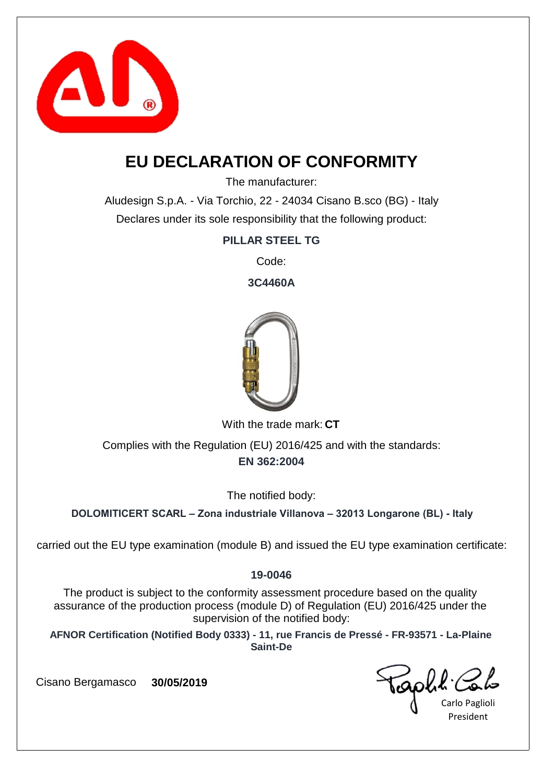

## **EU DECLARATION OF CONFORMITY**

The manufacturer:

Aludesign S.p.A. - Via Torchio, 22 - 24034 Cisano B.sco (BG) - Italy Declares under its sole responsibility that the following product:

### **PILLAR STEEL TG**

Code:

**3C4460A**



With the trade mark: CT

**EN 362:2004** Complies with the Regulation (EU) 2016/425 and with the standards:

The notified body:

**DOLOMITICERT SCARL – Zona industriale Villanova – 32013 Longarone (BL) - Italy**

carried out the EU type examination (module B) and issued the EU type examination certificate:

### **19-0046**

The product is subject to the conformity assessment procedure based on the quality assurance of the production process (module D) of Regulation (EU) 2016/425 under the supervision of the notified body:

**AFNOR Certification (Notified Body 0333) - 11, rue Francis de Pressé - FR-93571 - La-Plaine Saint-De**

Carlo Paglioli President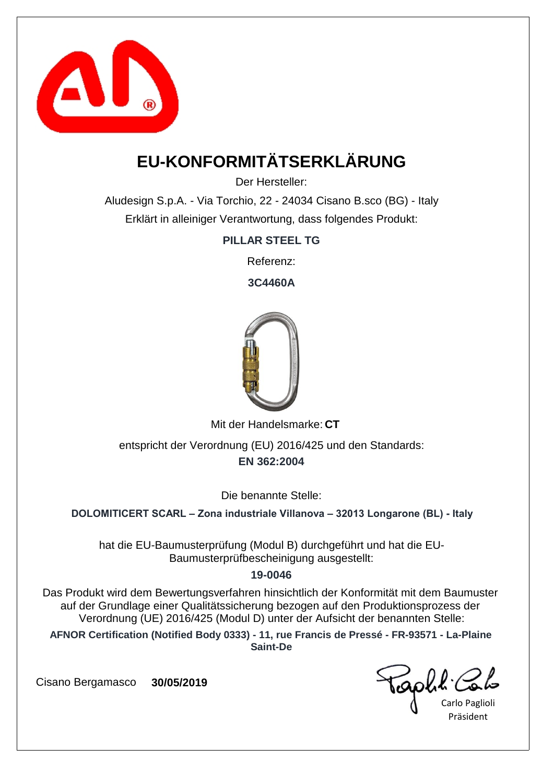

# **EU-KONFORMITÄTSERKLÄRUNG**

Der Hersteller:

Aludesign S.p.A. - Via Torchio, 22 - 24034 Cisano B.sco (BG) - Italy Erklärt in alleiniger Verantwortung, dass folgendes Produkt:

**PILLAR STEEL TG**

Referenz:

**3C4460A**



Mit der Handelsmarke: CT

**EN 362:2004** entspricht der Verordnung (EU) 2016/425 und den Standards:

Die benannte Stelle:

**DOLOMITICERT SCARL – Zona industriale Villanova – 32013 Longarone (BL) - Italy**

hat die EU-Baumusterprüfung (Modul B) durchgeführt und hat die EU-Baumusterprüfbescheinigung ausgestellt:

#### **19-0046**

Das Produkt wird dem Bewertungsverfahren hinsichtlich der Konformität mit dem Baumuster auf der Grundlage einer Qualitätssicherung bezogen auf den Produktionsprozess der Verordnung (UE) 2016/425 (Modul D) unter der Aufsicht der benannten Stelle:

**AFNOR Certification (Notified Body 0333) - 11, rue Francis de Pressé - FR-93571 - La-Plaine Saint-De**

capha.

Carlo Paglioli Präsident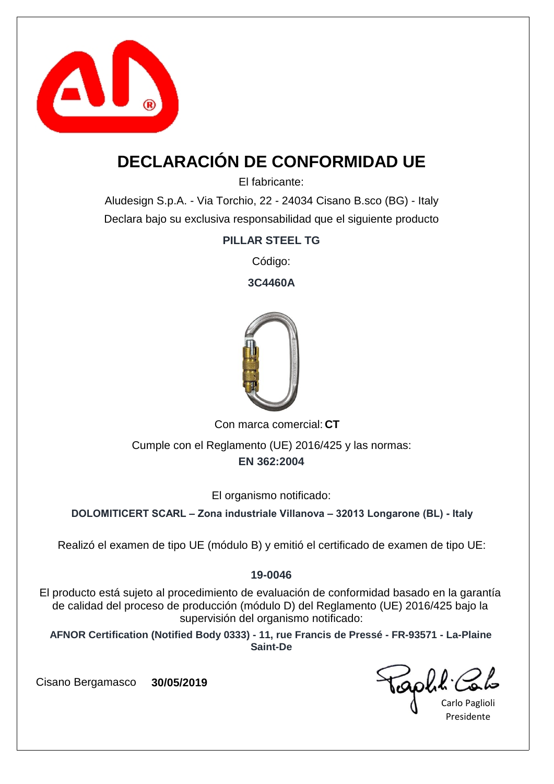

## **DECLARACIÓN DE CONFORMIDAD UE**

El fabricante:

Aludesign S.p.A. - Via Torchio, 22 - 24034 Cisano B.sco (BG) - Italy Declara bajo su exclusiva responsabilidad que el siguiente producto

**PILLAR STEEL TG**

Código:

**3C4460A**



Con marca comercial: CT

**EN 362:2004** Cumple con el Reglamento (UE) 2016/425 y las normas:

El organismo notificado:

**DOLOMITICERT SCARL – Zona industriale Villanova – 32013 Longarone (BL) - Italy**

Realizó el examen de tipo UE (módulo B) y emitió el certificado de examen de tipo UE:

### **19-0046**

El producto está sujeto al procedimiento de evaluación de conformidad basado en la garantía de calidad del proceso de producción (módulo D) del Reglamento (UE) 2016/425 bajo la supervisión del organismo notificado:

**AFNOR Certification (Notified Body 0333) - 11, rue Francis de Pressé - FR-93571 - La-Plaine Saint-De**

capha.

Carlo Paglioli Presidente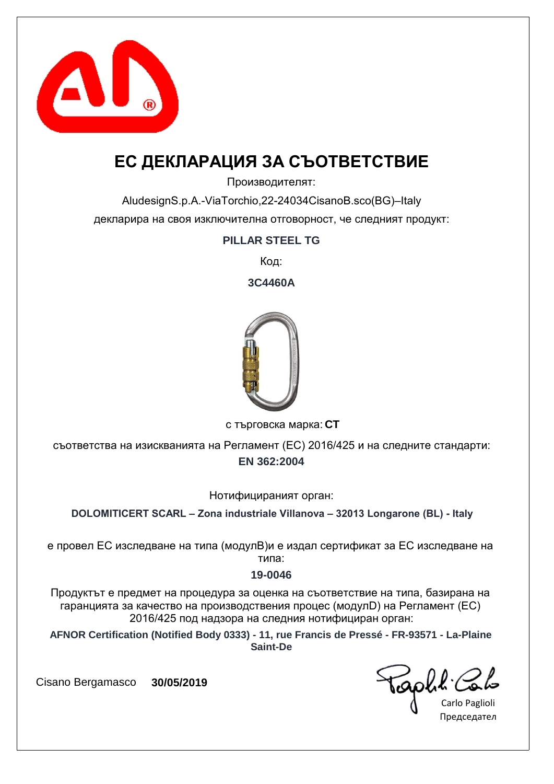

## **ЕС ДЕКЛАРАЦИЯ ЗА СЪОТВЕТСТВИЕ**

Производителят:

AludesignS.p.A.-ViaTorchio,22-24034CisanoB.sco(BG)–Italy декларира на своя изключителна отговорност, че следният продукт:

### **PILLAR STEEL TG**

Код:

**3C4460A**



**CT** с търговска марка:

**EN 362:2004** съответства на изискванията на Регламент (ЕС) 2016/425 и на следните стандарти:

Нотифицираният орган:

**DOLOMITICERT SCARL – Zona industriale Villanova – 32013 Longarone (BL) - Italy**

е провел ЕС изследване на типа (модулB)и е издал сертификат за ЕС изследване на типа:

#### **19-0046**

Продуктът е предмет на процедура за оценка на съответствие на типа, базирана на гаранцията за качество на производствения процес (модулD) на Регламент (ЕС) 2016/425 под надзора на следния нотифициран орган:

**AFNOR Certification (Notified Body 0333) - 11, rue Francis de Pressé - FR-93571 - La-Plaine Saint-De**

EQOLL Colo

Председател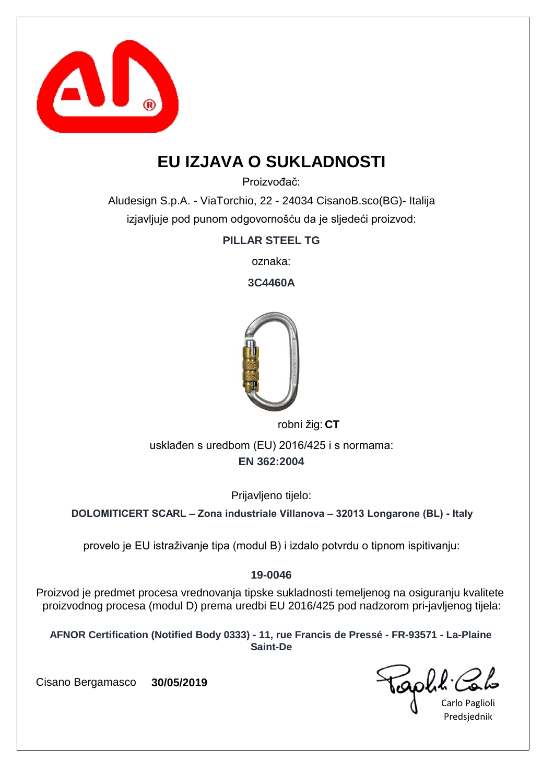

## **EU IZJAVA O SUKLADNOSTI**

Proizvođač:

Aludesign S.p.A. - ViaTorchio, 22 - 24034 CisanoB.sco(BG)- Italija izjavljuje pod punom odgovornošću da je sljedeći proizvod:

**PILLAR STEEL TG**

oznaka:

**3C4460A**



robni žig: CT

**EN 362:2004** usklađen s uredbom (EU) 2016/425 i s normama:

Prijavljeno tijelo:

**DOLOMITICERT SCARL – Zona industriale Villanova – 32013 Longarone (BL) - Italy**

provelo je EU istraživanje tipa (modul B) i izdalo potvrdu o tipnom ispitivanju:

### **19-0046**

Proizvod je predmet procesa vrednovanja tipske sukladnosti temeljenog na osiguranju kvalitete proizvodnog procesa (modul D) prema uredbi EU 2016/425 pod nadzorom pri-javljenog tijela:

**AFNOR Certification (Notified Body 0333) - 11, rue Francis de Pressé - FR-93571 - La-Plaine Saint-De**

Carlo Paglioli Predsjednik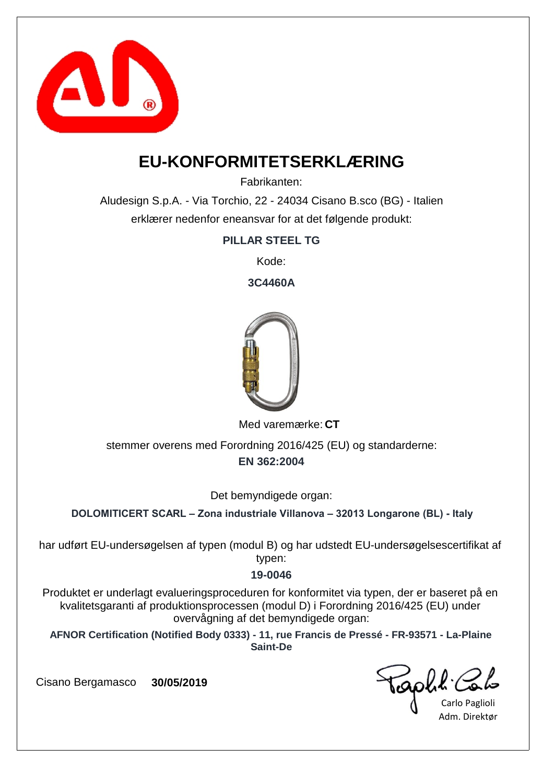

### **EU-KONFORMITETSERKLÆRING**

Fabrikanten:

Aludesign S.p.A. - Via Torchio, 22 - 24034 Cisano B.sco (BG) - Italien erklærer nedenfor eneansvar for at det følgende produkt:

**PILLAR STEEL TG**

Kode:

**3C4460A**



Med varemærke: CT

**EN 362:2004** stemmer overens med Forordning 2016/425 (EU) og standarderne:

Det bemyndigede organ:

**DOLOMITICERT SCARL – Zona industriale Villanova – 32013 Longarone (BL) - Italy**

har udført EU-undersøgelsen af typen (modul B) og har udstedt EU-undersøgelsescertifikat af typen:

### **19-0046**

Produktet er underlagt evalueringsproceduren for konformitet via typen, der er baseret på en kvalitetsgaranti af produktionsprocessen (modul D) i Forordning 2016/425 (EU) under overvågning af det bemyndigede organ:

**AFNOR Certification (Notified Body 0333) - 11, rue Francis de Pressé - FR-93571 - La-Plaine Saint-De**

capha.c

Carlo Paglioli Adm. Direktør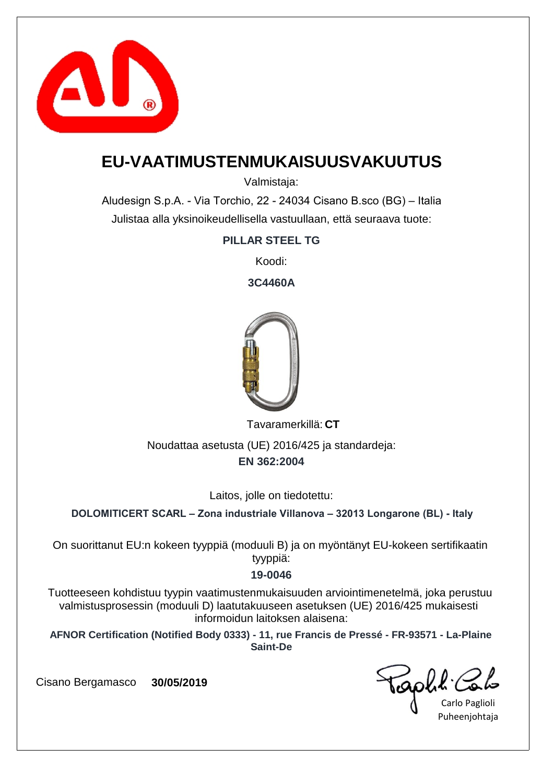

### **EU-VAATIMUSTENMUKAISUUSVAKUUTUS**

Valmistaja:

Aludesign S.p.A. - Via Torchio, 22 - 24034 Cisano B.sco (BG) – Italia Julistaa alla yksinoikeudellisella vastuullaan, että seuraava tuote:

**PILLAR STEEL TG**

Koodi:

**3C4460A**



**CT** Tavaramerkillä:

**EN 362:2004** Noudattaa asetusta (UE) 2016/425 ja standardeja:

Laitos, jolle on tiedotettu:

**DOLOMITICERT SCARL – Zona industriale Villanova – 32013 Longarone (BL) - Italy**

On suorittanut EU:n kokeen tyyppiä (moduuli B) ja on myöntänyt EU-kokeen sertifikaatin tyyppiä:

### **19-0046**

Tuotteeseen kohdistuu tyypin vaatimustenmukaisuuden arviointimenetelmä, joka perustuu valmistusprosessin (moduuli D) laatutakuuseen asetuksen (UE) 2016/425 mukaisesti informoidun laitoksen alaisena:

**AFNOR Certification (Notified Body 0333) - 11, rue Francis de Pressé - FR-93571 - La-Plaine Saint-De**

capha.

Carlo Paglioli Puheenjohtaja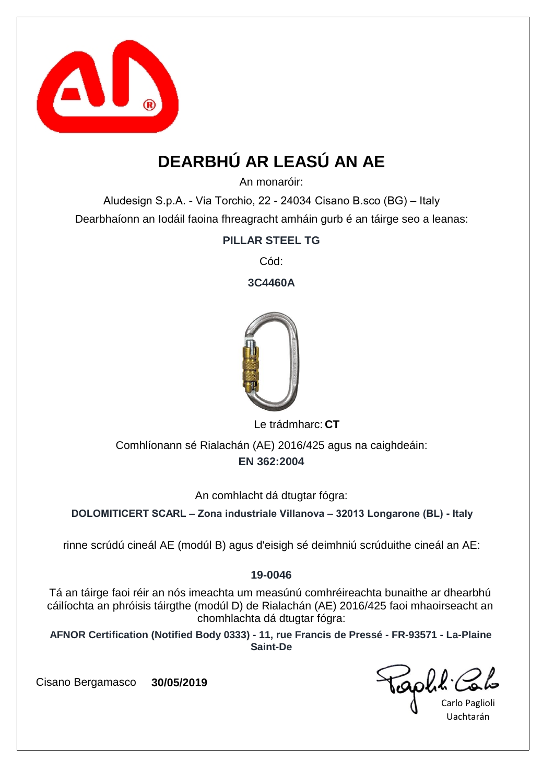

# **DEARBHÚ AR LEASÚ AN AE**

An monaróir:

Aludesign S.p.A. - Via Torchio, 22 - 24034 Cisano B.sco (BG) – Italy Dearbhaíonn an Iodáil faoina fhreagracht amháin gurb é an táirge seo a leanas:

**PILLAR STEEL TG**

Cód:

**3C4460A**



Le trádmharc: CT

**EN 362:2004** Comhlíonann sé Rialachán (AE) 2016/425 agus na caighdeáin:

An comhlacht dá dtugtar fógra:

**DOLOMITICERT SCARL – Zona industriale Villanova – 32013 Longarone (BL) - Italy**

rinne scrúdú cineál AE (modúl B) agus d'eisigh sé deimhniú scrúduithe cineál an AE:

### **19-0046**

Tá an táirge faoi réir an nós imeachta um measúnú comhréireachta bunaithe ar dhearbhú cáilíochta an phróisis táirgthe (modúl D) de Rialachán (AE) 2016/425 faoi mhaoirseacht an chomhlachta dá dtugtar fógra:

**AFNOR Certification (Notified Body 0333) - 11, rue Francis de Pressé - FR-93571 - La-Plaine Saint-De**

iaphl'

Carlo Paglioli Uachtarán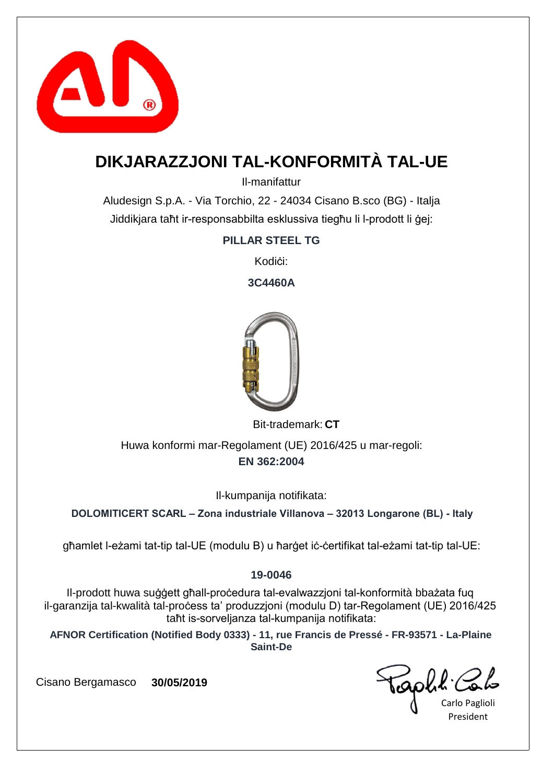

## **DIKJARAZZJONI TAL-KONFORMITÀ TAL-UE**

Il-manifattur

Aludesign S.p.A. - Via Torchio, 22 - 24034 Cisano B.sco (BG) - Italja Jiddikjara taħt ir-responsabbilta esklussiva tiegħu li l-prodott li ġej:

**PILLAR STEEL TG**

Kodići:

**3C4460A**



Bit-trademark: CT

**EN 362:2004** Huwa konformi mar-Regolament (UE) 2016/425 u mar-regoli:

Il-kumpanija notifikata:

**DOLOMITICERT SCARL – Zona industriale Villanova – 32013 Longarone (BL) - Italy**

għamlet l-eżami tat-tip tal-UE (modulu B) u ħarġet iċ-ċertifikat tal-eżami tat-tip tal-UE:

### **19-0046**

Il-prodott huwa suġġett għall-proċedura tal-evalwazzjoni tal-konformità bbażata fuq il-garanzija tal-kwalità tal-proċess ta' produzzjoni (modulu D) tar-Regolament (UE) 2016/425 taħt is-sorveljanza tal-kumpanija notifikata:

**AFNOR Certification (Notified Body 0333) - 11, rue Francis de Pressé - FR-93571 - La-Plaine Saint-De**

raphit.

Carlo Paglioli President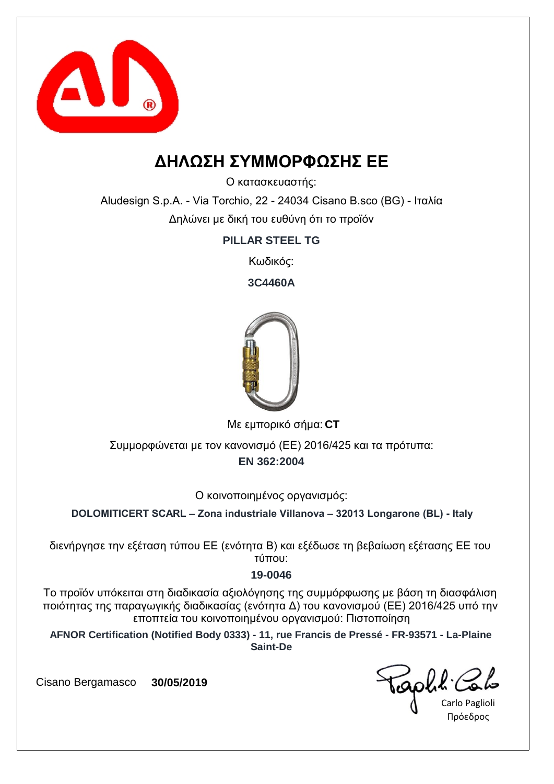

### **ΔΗΛΩΣΗ ΣΥΜΜΟΡΦΩΣΗΣ ΕΕ**

Ο κατασκευαστής:

Aludesign S.p.A. - Via Torchio, 22 - 24034 Cisano B.sco (BG) - Ιταλία Δηλώνει με δική του ευθύνη ότι το προϊόν

**PILLAR STEEL TG**

Κωδικός:

**3C4460A**



**CT** Με εμπορικό σήμα:

**EN 362:2004** Συμμορφώνεται με τον κανονισμό (ΕΕ) 2016/425 και τα πρότυπα:

Ο κοινοποιημένος οργανισμός:

**DOLOMITICERT SCARL – Zona industriale Villanova – 32013 Longarone (BL) - Italy**

διενήργησε την εξέταση τύπου ΕΕ (ενότητα Β) και εξέδωσε τη βεβαίωση εξέτασης ΕΕ του τύπου:

#### **19-0046**

Το προϊόν υπόκειται στη διαδικασία αξιολόγησης της συμμόρφωσης με βάση τη διασφάλιση ποιότητας της παραγωγικής διαδικασίας (ενότητα Δ) του κανονισμού (ΕΕ) 2016/425 υπό την εποπτεία του κοινοποιημένου οργανισμού: Πιστοποίηση

**AFNOR Certification (Notified Body 0333) - 11, rue Francis de Pressé - FR-93571 - La-Plaine Saint-De**

Carlo Paglioli Πρόεδρος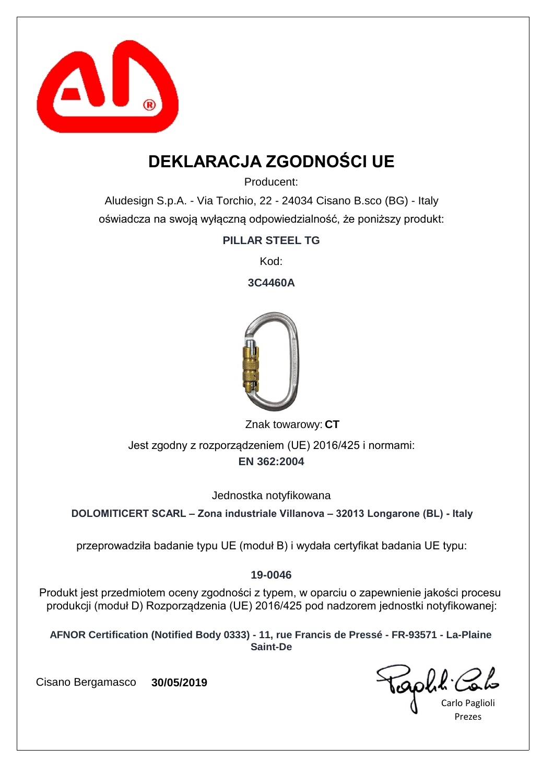

## **DEKLARACJA ZGODNOŚCI UE**

Producent:

Aludesign S.p.A. - Via Torchio, 22 - 24034 Cisano B.sco (BG) - Italy oświadcza na swoją wyłączną odpowiedzialność, że poniższy produkt:

**PILLAR STEEL TG**

Kod:

**3C4460A**



Znak towarowy: CT

**EN 362:2004** Jest zgodny z rozporządzeniem (UE) 2016/425 i normami:

Jednostka notyfikowana

**DOLOMITICERT SCARL – Zona industriale Villanova – 32013 Longarone (BL) - Italy**

przeprowadziła badanie typu UE (moduł B) i wydała certyfikat badania UE typu:

### **19-0046**

Produkt jest przedmiotem oceny zgodności z typem, w oparciu o zapewnienie jakości procesu produkcji (moduł D) Rozporządzenia (UE) 2016/425 pod nadzorem jednostki notyfikowanej:

**AFNOR Certification (Notified Body 0333) - 11, rue Francis de Pressé - FR-93571 - La-Plaine Saint-De**

Carlo Paglioli Prezes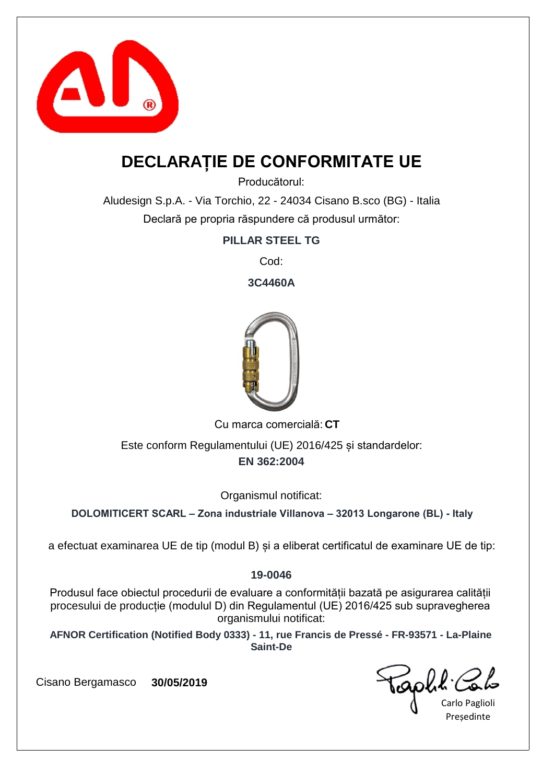

## **DECLARAȚIE DE CONFORMITATE UE**

Producătorul:

Aludesign S.p.A. - Via Torchio, 22 - 24034 Cisano B.sco (BG) - Italia Declară pe propria răspundere că produsul următor:

**PILLAR STEEL TG**

Cod:

**3C4460A**



Cu marca comercială: CT

**EN 362:2004** Este conform Regulamentului (UE) 2016/425 și standardelor:

Organismul notificat:

**DOLOMITICERT SCARL – Zona industriale Villanova – 32013 Longarone (BL) - Italy**

a efectuat examinarea UE de tip (modul B) și a eliberat certificatul de examinare UE de tip:

### **19-0046**

Produsul face obiectul procedurii de evaluare a conformității bazată pe asigurarea calității procesului de producție (modulul D) din Regulamentul (UE) 2016/425 sub supravegherea organismului notificat:

**AFNOR Certification (Notified Body 0333) - 11, rue Francis de Pressé - FR-93571 - La-Plaine Saint-De**

raphit.

Carlo Paglioli **Presedinte**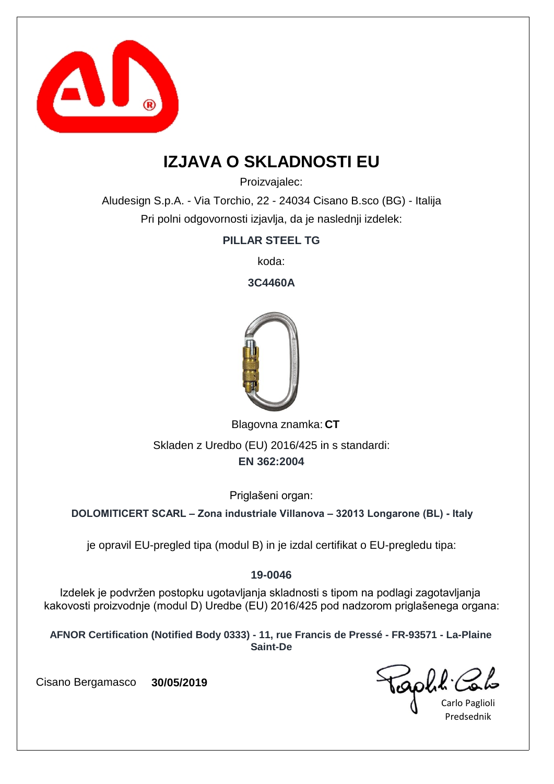

## **IZJAVA O SKLADNOSTI EU**

Proizvajalec:

Aludesign S.p.A. - Via Torchio, 22 - 24034 Cisano B.sco (BG) - Italija Pri polni odgovornosti izjavlja, da je naslednji izdelek:

**PILLAR STEEL TG**

koda:

**3C4460A**



Blagovna znamka: CT

**EN 362:2004** Skladen z Uredbo (EU) 2016/425 in s standardi:

Priglašeni organ:

**DOLOMITICERT SCARL – Zona industriale Villanova – 32013 Longarone (BL) - Italy**

je opravil EU-pregled tipa (modul B) in je izdal certifikat o EU-pregledu tipa:

### **19-0046**

Izdelek je podvržen postopku ugotavljanja skladnosti s tipom na podlagi zagotavljanja kakovosti proizvodnje (modul D) Uredbe (EU) 2016/425 pod nadzorom priglašenega organa:

**AFNOR Certification (Notified Body 0333) - 11, rue Francis de Pressé - FR-93571 - La-Plaine Saint-De**

Carlo Paglioli Predsednik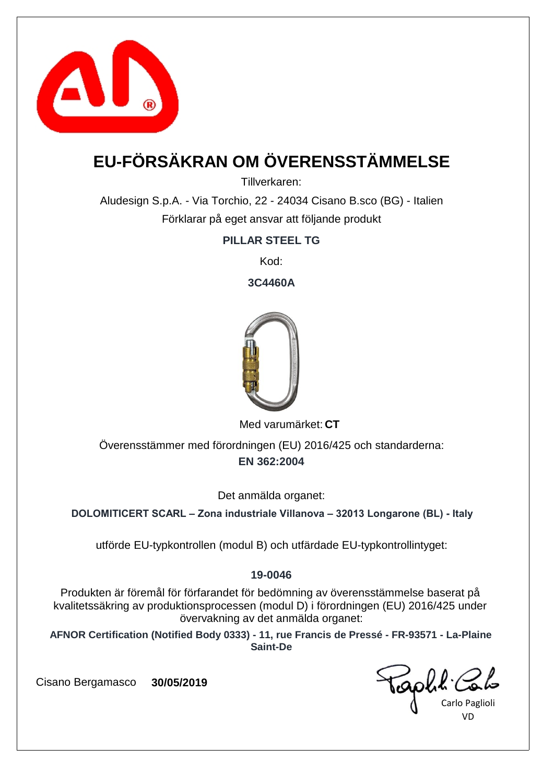

# **EU-FÖRSÄKRAN OM ÖVERENSSTÄMMELSE**

Tillverkaren:

Aludesign S.p.A. - Via Torchio, 22 - 24034 Cisano B.sco (BG) - Italien Förklarar på eget ansvar att följande produkt

**PILLAR STEEL TG**

Kod:

**3C4460A**



Med varumärket: CT

**EN 362:2004** Överensstämmer med förordningen (EU) 2016/425 och standarderna:

Det anmälda organet:

**DOLOMITICERT SCARL – Zona industriale Villanova – 32013 Longarone (BL) - Italy**

utförde EU-typkontrollen (modul B) och utfärdade EU-typkontrollintyget:

### **19-0046**

Produkten är föremål för förfarandet för bedömning av överensstämmelse baserat på kvalitetssäkring av produktionsprocessen (modul D) i förordningen (EU) 2016/425 under övervakning av det anmälda organet:

**AFNOR Certification (Notified Body 0333) - 11, rue Francis de Pressé - FR-93571 - La-Plaine Saint-De**

Carlo Paglioli VD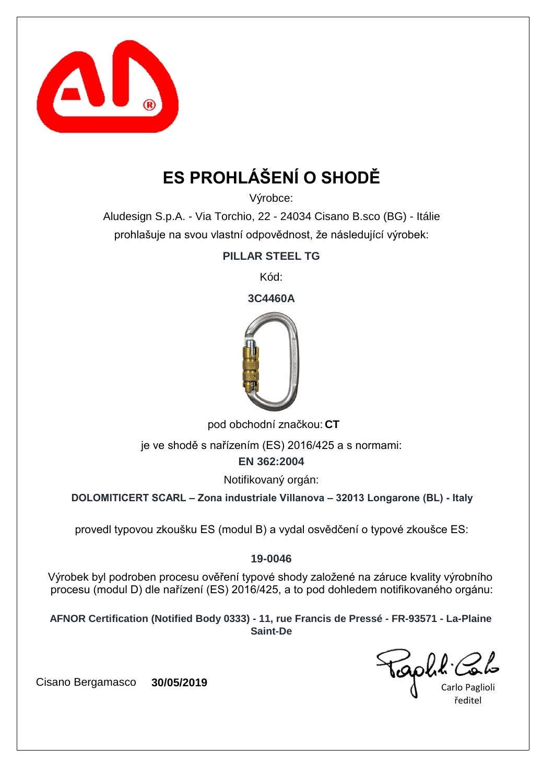

# **ES PROHLÁŠENÍ O SHODĚ**

Výrobce:

Aludesign S.p.A. - Via Torchio, 22 - 24034 Cisano B.sco (BG) - Itálie prohlašuje na svou vlastní odpovědnost, že následující výrobek:

**PILLAR STEEL TG**

Kód:

**3C4460A**



pod obchodní značkou: CT

je ve shodě s nařízením (ES) 2016/425 a s normami:

**EN 362:2004**

Notifikovaný orgán:

**DOLOMITICERT SCARL – Zona industriale Villanova – 32013 Longarone (BL) - Italy**

provedl typovou zkoušku ES (modul B) a vydal osvědčení o typové zkoušce ES:

### **19-0046**

Výrobek byl podroben procesu ověření typové shody založené na záruce kvality výrobního procesu (modul D) dle nařízení (ES) 2016/425, a to pod dohledem notifikovaného orgánu:

**AFNOR Certification (Notified Body 0333) - 11, rue Francis de Pressé - FR-93571 - La-Plaine Saint-De**

Goble.

Carlo Paglioli ředitel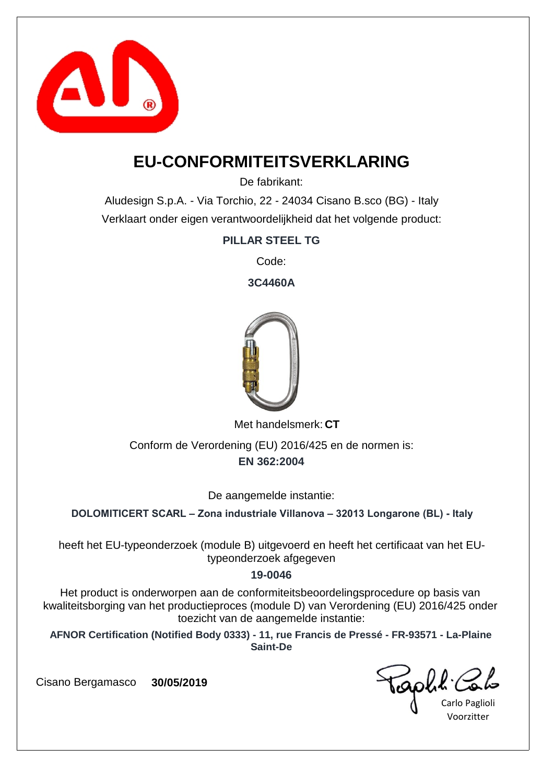

### **EU-CONFORMITEITSVERKLARING**

De fabrikant:

Aludesign S.p.A. - Via Torchio, 22 - 24034 Cisano B.sco (BG) - Italy Verklaart onder eigen verantwoordelijkheid dat het volgende product:

**PILLAR STEEL TG**

Code:

**3C4460A**



Met handelsmerk: CT

**EN 362:2004** Conform de Verordening (EU) 2016/425 en de normen is:

De aangemelde instantie:

**DOLOMITICERT SCARL – Zona industriale Villanova – 32013 Longarone (BL) - Italy**

heeft het EU-typeonderzoek (module B) uitgevoerd en heeft het certificaat van het EUtypeonderzoek afgegeven

### **19-0046**

Het product is onderworpen aan de conformiteitsbeoordelingsprocedure op basis van kwaliteitsborging van het productieproces (module D) van Verordening (EU) 2016/425 onder toezicht van de aangemelde instantie:

**AFNOR Certification (Notified Body 0333) - 11, rue Francis de Pressé - FR-93571 - La-Plaine Saint-De**

iaphl'

Carlo Paglioli Voorzitter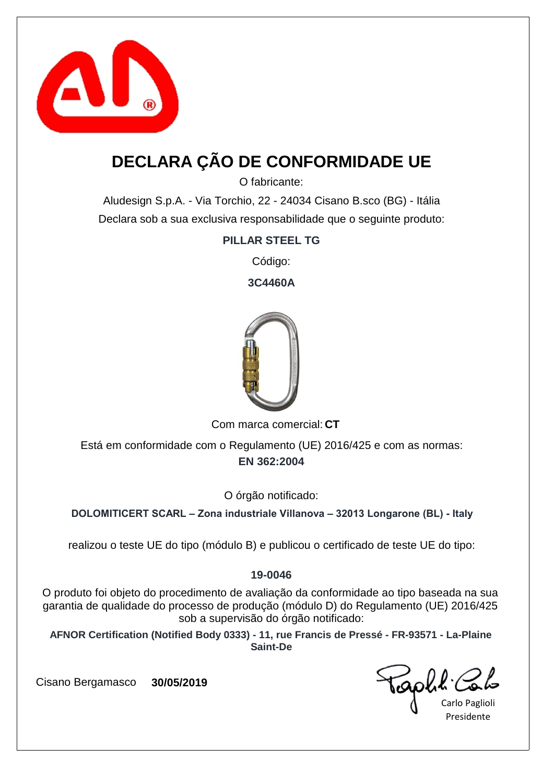

## **DECLARA ÇÃO DE CONFORMIDADE UE**

O fabricante:

Aludesign S.p.A. - Via Torchio, 22 - 24034 Cisano B.sco (BG) - Itália Declara sob a sua exclusiva responsabilidade que o seguinte produto:

**PILLAR STEEL TG**

Código:

**3C4460A**



Com marca comercial: CT

**EN 362:2004** Está em conformidade com o Regulamento (UE) 2016/425 e com as normas:

O órgão notificado:

**DOLOMITICERT SCARL – Zona industriale Villanova – 32013 Longarone (BL) - Italy**

realizou o teste UE do tipo (módulo B) e publicou o certificado de teste UE do tipo:

### **19-0046**

O produto foi objeto do procedimento de avaliação da conformidade ao tipo baseada na sua garantia de qualidade do processo de produção (módulo D) do Regulamento (UE) 2016/425 sob a supervisão do órgão notificado:

**AFNOR Certification (Notified Body 0333) - 11, rue Francis de Pressé - FR-93571 - La-Plaine Saint-De**

capha.

Carlo Paglioli Presidente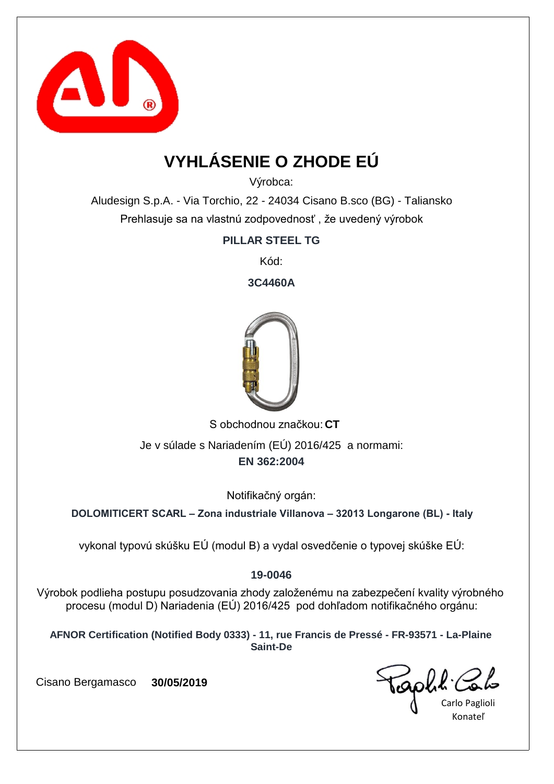

## **VYHLÁSENIE O ZHODE EÚ**

Výrobca:

Aludesign S.p.A. - Via Torchio, 22 - 24034 Cisano B.sco (BG) - Taliansko Prehlasuje sa na vlastnú zodpovednosť , že uvedený výrobok

**PILLAR STEEL TG**

Kód:

**3C4460A**



S obchodnou značkou: CT **EN 362:2004** Je v súlade s Nariadením (EÚ) 2016/425 a normami:

Notifikačný orgán:

**DOLOMITICERT SCARL – Zona industriale Villanova – 32013 Longarone (BL) - Italy**

vykonal typovú skúšku EÚ (modul B) a vydal osvedčenie o typovej skúške EÚ:

### **19-0046**

Výrobok podlieha postupu posudzovania zhody založenému na zabezpečení kvality výrobného procesu (modul D) Nariadenia (EÚ) 2016/425 pod dohľadom notifikačného orgánu:

**AFNOR Certification (Notified Body 0333) - 11, rue Francis de Pressé - FR-93571 - La-Plaine Saint-De**

Carlo Paglioli Konateľ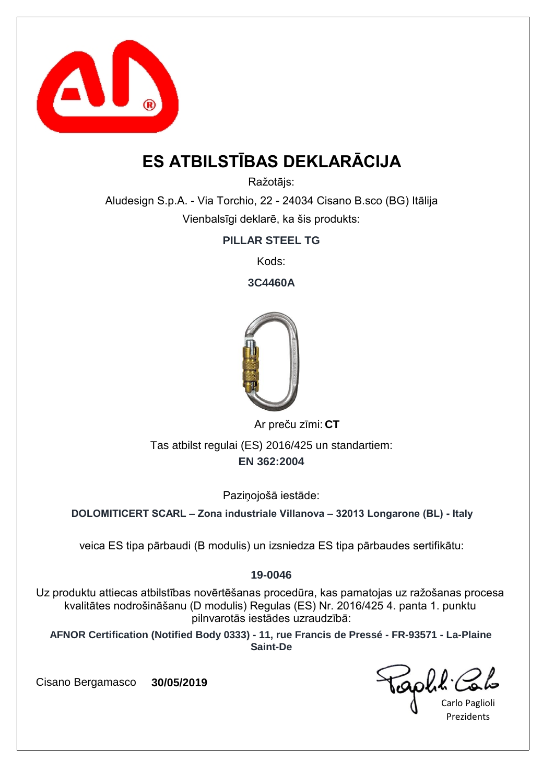

## **ES ATBILSTĪBAS DEKLARĀCIJA**

Ražotājs:

Aludesign S.p.A. - Via Torchio, 22 - 24034 Cisano B.sco (BG) Itālija Vienbalsīgi deklarē, ka šis produkts:

**PILLAR STEEL TG**

Kods:

**3C4460A**



**CT** Ar preču zīmi:

**EN 362:2004** Tas atbilst regulai (ES) 2016/425 un standartiem:

Paziņojošā iestāde:

**DOLOMITICERT SCARL – Zona industriale Villanova – 32013 Longarone (BL) - Italy**

veica ES tipa pārbaudi (B modulis) un izsniedza ES tipa pārbaudes sertifikātu:

### **19-0046**

Uz produktu attiecas atbilstības novērtēšanas procedūra, kas pamatojas uz ražošanas procesa kvalitātes nodrošināšanu (D modulis) Regulas (ES) Nr. 2016/425 4. panta 1. punktu pilnvarotās iestādes uzraudzībā:

**AFNOR Certification (Notified Body 0333) - 11, rue Francis de Pressé - FR-93571 - La-Plaine Saint-De**

Taph!

Carlo Paglioli **Prezidents**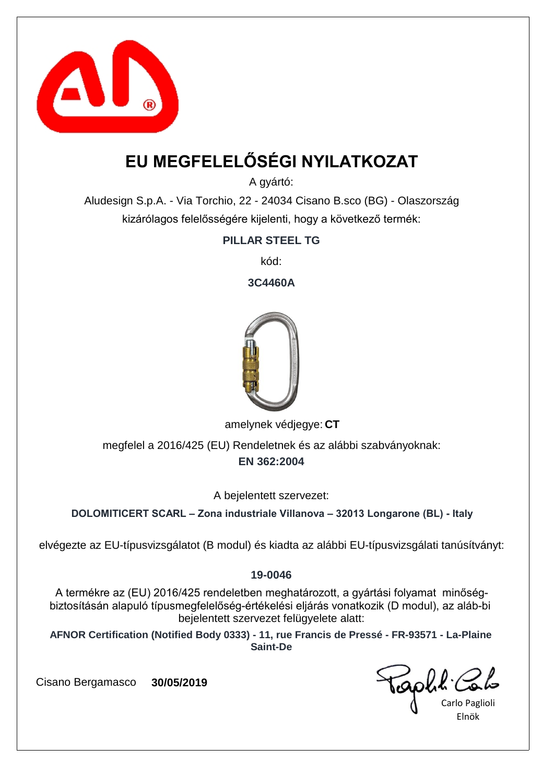

## **EU MEGFELELŐSÉGI NYILATKOZAT**

A gyártó:

Aludesign S.p.A. - Via Torchio, 22 - 24034 Cisano B.sco (BG) - Olaszország kizárólagos felelősségére kijelenti, hogy a következő termék:

**PILLAR STEEL TG**

kód:

**3C4460A**



amelynek védjegye: CT

**EN 362:2004** megfelel a 2016/425 (EU) Rendeletnek és az alábbi szabványoknak:

A bejelentett szervezet:

**DOLOMITICERT SCARL – Zona industriale Villanova – 32013 Longarone (BL) - Italy**

elvégezte az EU-típusvizsgálatot (B modul) és kiadta az alábbi EU-típusvizsgálati tanúsítványt:

### **19-0046**

A termékre az (EU) 2016/425 rendeletben meghatározott, a gyártási folyamat minőségbiztosításán alapuló típusmegfelelőség-értékelési eljárás vonatkozik (D modul), az aláb-bi bejelentett szervezet felügyelete alatt:

**AFNOR Certification (Notified Body 0333) - 11, rue Francis de Pressé - FR-93571 - La-Plaine Saint-De**

Carlo Paglioli Elnök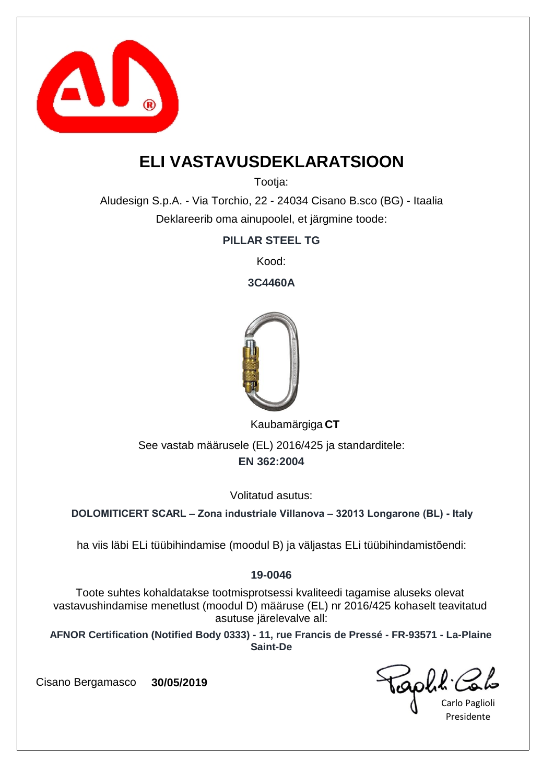

## **ELI VASTAVUSDEKLARATSIOON**

Tootia:

Aludesign S.p.A. - Via Torchio, 22 - 24034 Cisano B.sco (BG) - Itaalia Deklareerib oma ainupoolel, et järgmine toode:

**PILLAR STEEL TG**

Kood:

**3C4460A**



**CT** Kaubamärgiga

**EN 362:2004** See vastab määrusele (EL) 2016/425 ja standarditele:

Volitatud asutus:

**DOLOMITICERT SCARL – Zona industriale Villanova – 32013 Longarone (BL) - Italy**

ha viis läbi ELi tüübihindamise (moodul B) ja väljastas ELi tüübihindamistõendi:

### **19-0046**

Toote suhtes kohaldatakse tootmisprotsessi kvaliteedi tagamise aluseks olevat vastavushindamise menetlust (moodul D) määruse (EL) nr 2016/425 kohaselt teavitatud asutuse järelevalve all:

**AFNOR Certification (Notified Body 0333) - 11, rue Francis de Pressé - FR-93571 - La-Plaine Saint-De**

aphl C

Carlo Paglioli Presidente